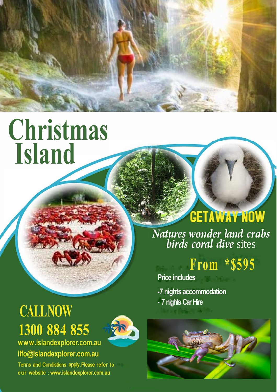

# **[Christmas](https://gn521.infusionsoft.com/app/form/6e270e72919d197de4e7d3d8b45a3707)  Island**

# **CALL NOW 1300 884 855**



**www .islandexplorer.com.au ilfo@islandexplorer.com.au** 

Terms and Condistions apply .Please refer to our website : www.islandexplorer.com.au

# **CETAWAY NOW**

*Natures wonder land crabs birds coral dive* sites

## **From \*\$59 5**

**Price includes** 

**-7 nights accommodation - 7 nights Car Hire**